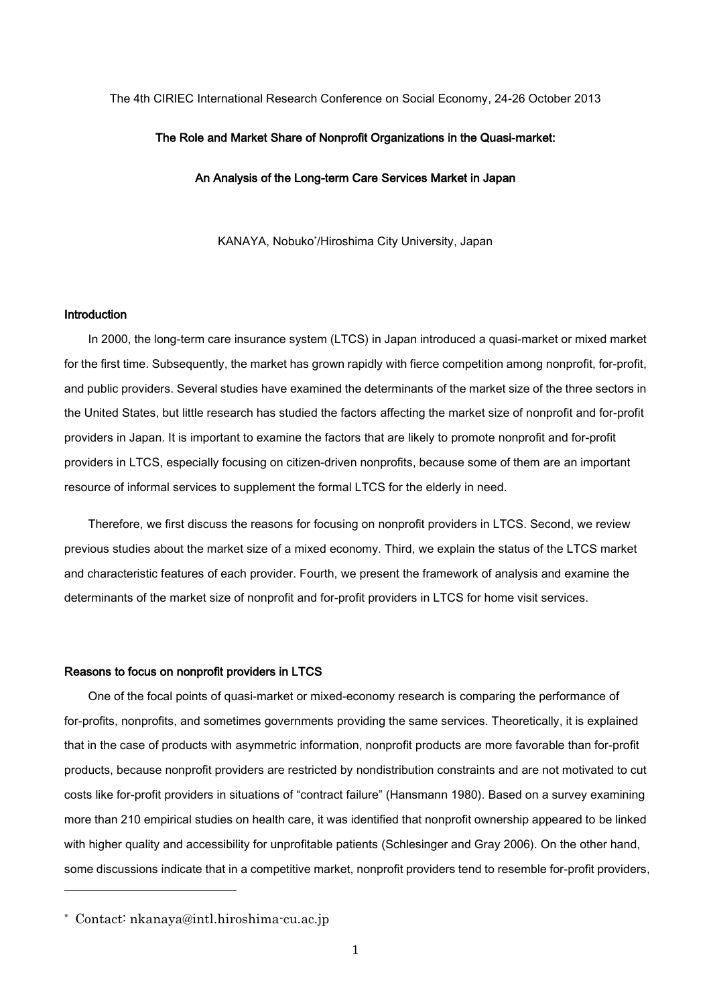The 4th CIRIEC International Research Conference on Social Economy, 24-26 October 2013

# The Role and Market Share of Nonprofit Organizations in the Quasi-market:

An Analysis of the Long-term Care Services Market in Japan

KANAYA, Nobuko\* /Hiroshima City University, Japan

## Introduction

In 2000, the long-term care insurance system (LTCS) in Japan introduced a quasi-market or mixed market for the first time. Subsequently, the market has grown rapidly with fierce competition among nonprofit, for-profit, and public providers. Several studies have examined the determinants of the market size of the three sectors in the United States, but little research has studied the factors affecting the market size of nonprofit and for-profit providers in Japan. It is important to examine the factors that are likely to promote nonprofit and for-profit providers in LTCS, especially focusing on citizen-driven nonprofits, because some of them are an important resource of informal services to supplement the formal LTCS for the elderly in need.

Therefore, we first discuss the reasons for focusing on nonprofit providers in LTCS. Second, we review previous studies about the market size of a mixed economy. Third, we explain the status of the LTCS market and characteristic features of each provider. Fourth, we present the framework of analysis and examine the determinants of the market size of nonprofit and for-profit providers in LTCS for home visit services.

# Reasons to focus on nonprofit providers in LTCS

One of the focal points of quasi-market or mixed-economy research is comparing the performance of for-profits, nonprofits, and sometimes governments providing the same services. Theoretically, it is explained that in the case of products with asymmetric information, nonprofit products are more favorable than for-profit products, because nonprofit providers are restricted by nondistribution constraints and are not motivated to cut costs like for-profit providers in situations of "contract failure" (Hansmann 1980). Based on a survey examining more than 210 empirical studies on health care, it was identified that nonprofit ownership appeared to be linked with higher quality and accessibility for unprofitable patients (Schlesinger and Gray 2006). On the other hand, some discussions indicate that in a competitive market, nonprofit providers tend to resemble for-profit providers,

 $\overline{a}$ 

<sup>\*</sup> Contact: nkanaya@intl.hiroshima-cu.ac.jp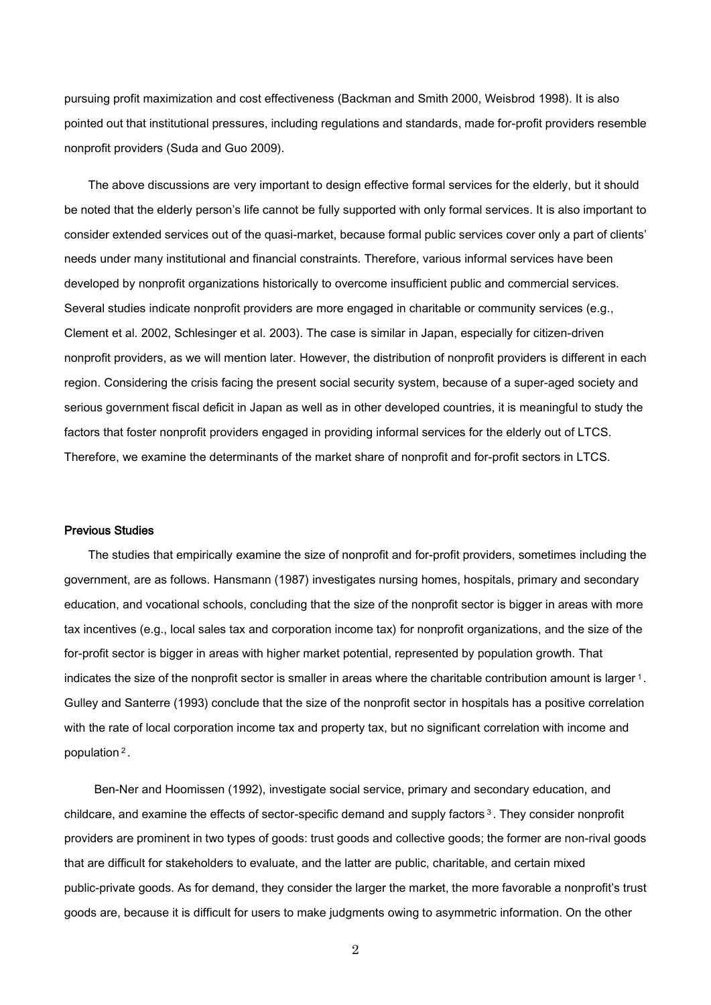pursuing profit maximization and cost effectiveness (Backman and Smith 2000, Weisbrod 1998). It is also pointed out that institutional pressures, including regulations and standards, made for-profit providers resemble nonprofit providers (Suda and Guo 2009).

The above discussions are very important to design effective formal services for the elderly, but it should be noted that the elderly person's life cannot be fully supported with only formal services. It is also important to consider extended services out of the quasi-market, because formal public services cover only a part of clients' needs under many institutional and financial constraints. Therefore, various informal services have been developed by nonprofit organizations historically to overcome insufficient public and commercial services. Several studies indicate nonprofit providers are more engaged in charitable or community services (e.g., Clement et al. 2002, Schlesinger et al. 2003). The case is similar in Japan, especially for citizen-driven nonprofit providers, as we will mention later. However, the distribution of nonprofit providers is different in each region. Considering the crisis facing the present social security system, because of a super-aged society and serious government fiscal deficit in Japan as well as in other developed countries, it is meaningful to study the factors that foster nonprofit providers engaged in providing informal services for the elderly out of LTCS. Therefore, we examine the determinants of the market share of nonprofit and for-profit sectors in LTCS.

# Previous Studies

The studies that empirically examine the size of nonprofit and for-profit providers, sometimes including the government, are as follows. Hansmann (1987) investigates nursing homes, hospitals, primary and secondary education, and vocational schools, concluding that the size of the nonprofit sector is bigger in areas with more tax incentives (e.g., local sales tax and corporation income tax) for nonprofit organizations, and the size of the for-profit sector is bigger in areas with higher market potential, represented by population growth. That indicates the size of the nonprofit sector is smaller in areas where the charitable contribution amount is larger<sup>1</sup>. Gulley and Santerre (1993) conclude that the size of the nonprofit sector in hospitals has a positive correlation with the rate of local corporation income tax and property tax, but no significant correlation with income and population<sup>2</sup>.

Ben-Ner and Hoomissen (1992), investigate social service, primary and secondary education, and childcare, and examine the effects of sector-specific demand and supply factors<sup>3</sup>. They consider nonprofit providers are prominent in two types of goods: trust goods and collective goods; the former are non-rival goods that are difficult for stakeholders to evaluate, and the latter are public, charitable, and certain mixed public-private goods. As for demand, they consider the larger the market, the more favorable a nonprofit's trust goods are, because it is difficult for users to make judgments owing to asymmetric information. On the other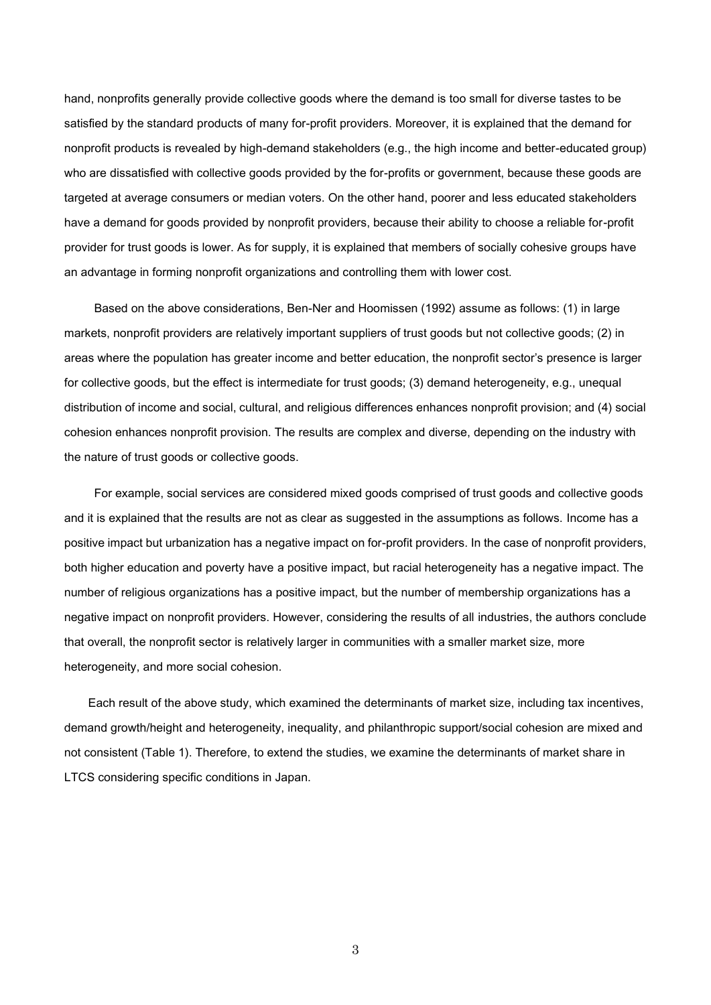hand, nonprofits generally provide collective goods where the demand is too small for diverse tastes to be satisfied by the standard products of many for-profit providers. Moreover, it is explained that the demand for nonprofit products is revealed by high-demand stakeholders (e.g., the high income and better-educated group) who are dissatisfied with collective goods provided by the for-profits or government, because these goods are targeted at average consumers or median voters. On the other hand, poorer and less educated stakeholders have a demand for goods provided by nonprofit providers, because their ability to choose a reliable for-profit provider for trust goods is lower. As for supply, it is explained that members of socially cohesive groups have an advantage in forming nonprofit organizations and controlling them with lower cost.

Based on the above considerations, Ben-Ner and Hoomissen (1992) assume as follows: (1) in large markets, nonprofit providers are relatively important suppliers of trust goods but not collective goods; (2) in areas where the population has greater income and better education, the nonprofit sector's presence is larger for collective goods, but the effect is intermediate for trust goods; (3) demand heterogeneity, e.g., unequal distribution of income and social, cultural, and religious differences enhances nonprofit provision; and (4) social cohesion enhances nonprofit provision. The results are complex and diverse, depending on the industry with the nature of trust goods or collective goods.

For example, social services are considered mixed goods comprised of trust goods and collective goods and it is explained that the results are not as clear as suggested in the assumptions as follows. Income has a positive impact but urbanization has a negative impact on for-profit providers. In the case of nonprofit providers, both higher education and poverty have a positive impact, but racial heterogeneity has a negative impact. The number of religious organizations has a positive impact, but the number of membership organizations has a negative impact on nonprofit providers. However, considering the results of all industries, the authors conclude that overall, the nonprofit sector is relatively larger in communities with a smaller market size, more heterogeneity, and more social cohesion.

Each result of the above study, which examined the determinants of market size, including tax incentives, demand growth/height and heterogeneity, inequality, and philanthropic support/social cohesion are mixed and not consistent (Table 1). Therefore, to extend the studies, we examine the determinants of market share in LTCS considering specific conditions in Japan.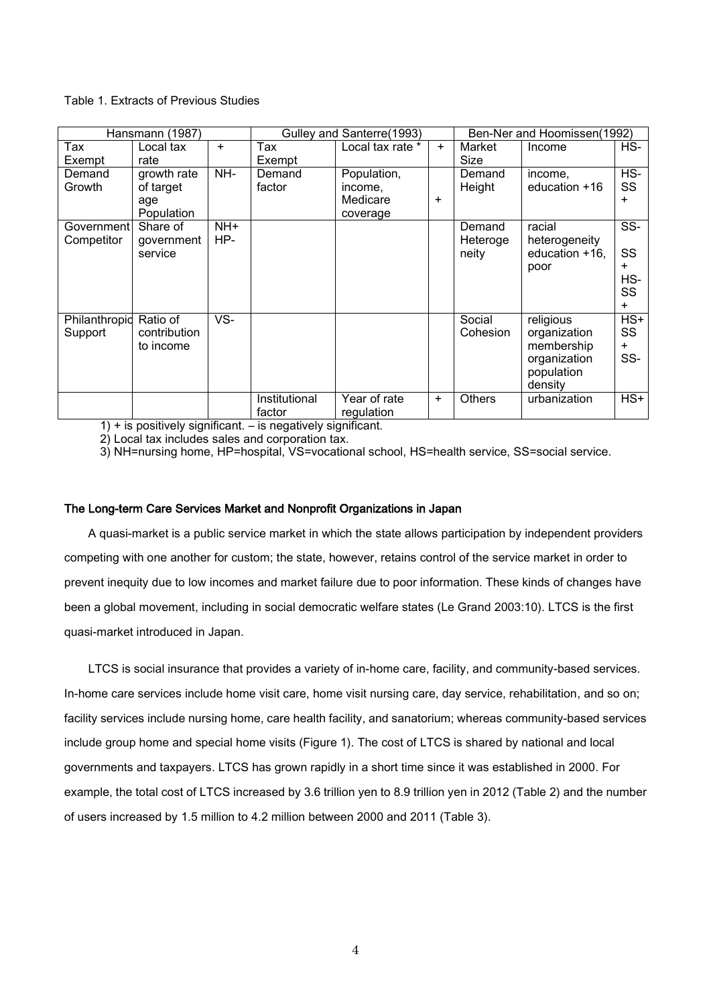# Table 1. Extracts of Previous Studies

|               | Hansmann (1987) |           |               | Gulley and Santerre(1993) |           | Ben-Ner and Hoomissen(1992) |                |           |  |  |
|---------------|-----------------|-----------|---------------|---------------------------|-----------|-----------------------------|----------------|-----------|--|--|
| Tax           | Local tax       | $\ddot{}$ | Tax           | Local tax rate *          | $\pm$     | Market                      | Income         | HS-       |  |  |
| Exempt        | rate            |           | Exempt        |                           |           | Size                        |                |           |  |  |
| Demand        | growth rate     | NH-       | Demand        | Population,               |           | Demand                      | income.        | HS-       |  |  |
| Growth        | of target       |           | factor        | income,                   |           | Height                      | education +16  | SS        |  |  |
|               | age             |           |               | Medicare                  | $\ddot{}$ |                             |                | $\ddot{}$ |  |  |
|               | Population      |           |               | coverage                  |           |                             |                |           |  |  |
| Government    | Share of        | NH+       |               |                           |           | Demand                      | racial         | SS-       |  |  |
| Competitor    | government      | HP-       |               |                           |           | Heteroge                    | heterogeneity  |           |  |  |
|               | service         |           |               |                           |           | neity                       | education +16, | SS        |  |  |
|               |                 |           |               |                           |           |                             | poor           | $+$       |  |  |
|               |                 |           |               |                           |           |                             |                | HS-       |  |  |
|               |                 |           |               |                           |           |                             |                | SS        |  |  |
|               |                 |           |               |                           |           |                             |                | $+$       |  |  |
| Philanthropid | Ratio of        | VS-       |               |                           |           | Social                      | religious      | $HS+$     |  |  |
| Support       | contribution    |           |               |                           |           | Cohesion                    | organization   | SS        |  |  |
|               | to income       |           |               |                           |           |                             | membership     | $\ddot{}$ |  |  |
|               |                 |           |               |                           |           |                             | organization   | SS-       |  |  |
|               |                 |           |               |                           |           |                             | population     |           |  |  |
|               |                 |           |               |                           |           |                             | density        |           |  |  |
|               |                 |           | Institutional | Year of rate              | $\ddot{}$ | <b>Others</b>               | urbanization   | $HS+$     |  |  |
|               |                 |           | factor        | regulation                |           |                             |                |           |  |  |

1) + is positively significant. – is negatively significant.

2) Local tax includes sales and corporation tax.

3) NH=nursing home, HP=hospital, VS=vocational school, HS=health service, SS=social service.

# The Long-term Care Services Market and Nonprofit Organizations in Japan

A quasi-market is a public service market in which the state allows participation by independent providers competing with one another for custom; the state, however, retains control of the service market in order to prevent inequity due to low incomes and market failure due to poor information. These kinds of changes have been a global movement, including in social democratic welfare states (Le Grand 2003:10). LTCS is the first quasi-market introduced in Japan.

LTCS is social insurance that provides a variety of in-home care, facility, and community-based services. In-home care services include home visit care, home visit nursing care, day service, rehabilitation, and so on; facility services include nursing home, care health facility, and sanatorium; whereas community-based services include group home and special home visits (Figure 1). The cost of LTCS is shared by national and local governments and taxpayers. LTCS has grown rapidly in a short time since it was established in 2000. For example, the total cost of LTCS increased by 3.6 trillion yen to 8.9 trillion yen in 2012 (Table 2) and the number of users increased by 1.5 million to 4.2 million between 2000 and 2011 (Table 3).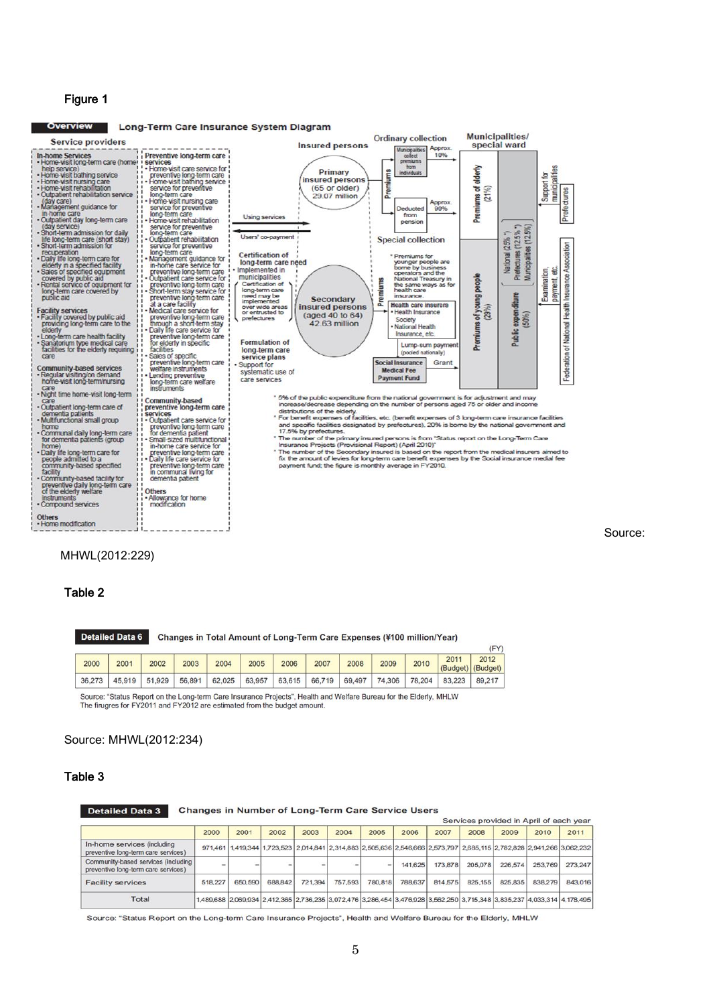# Figure 1



## MHWL(2012:229)

### Table 2

**Detailed Data 6** Changes in Total Amount of Long-Term Care Expenses (¥100 million/Year)

| 2000   | 2001 | 2002          | 2003   | 2004 | 2005          | 2006 | 2007                        | 2008 | 2009 | 2010   | (Budget) (Budget) | 2012   |
|--------|------|---------------|--------|------|---------------|------|-----------------------------|------|------|--------|-------------------|--------|
| 36,273 |      | 45,919 51,929 | 56.891 |      | 62,025 63,957 |      | 63,615 66,719 69,497 74,306 |      |      | 78,204 | 83,223            | 89.217 |

Source: "Status Report on the Long-term Care Insurance Projects", Health and Welfare Bureau for the Elderly, MHLW The firugres for FY2011 and FY2012 are estimated from the budget amount.

# Source: MHWL(2012:234)

### Table 3

#### Detailed Data 3 Changes in Number of Long-Term Care Service Users

|                                                                            |         |         |         |         |         |         |         |         |         | Services provided in April of each year                                                                                 |         |         |
|----------------------------------------------------------------------------|---------|---------|---------|---------|---------|---------|---------|---------|---------|-------------------------------------------------------------------------------------------------------------------------|---------|---------|
|                                                                            | 2000    | 2001    | 2002    | 2003    | 2004    | 2005    | 2006    | 2007    | 2008    | 2009                                                                                                                    | 2010    | 2011    |
| In-home services (including<br>preventive long-term care services)         |         |         |         |         |         |         |         |         |         | 971.461 1.419.344 1.723.523 2.014.841 2.314.883 2.505.636 2.546.666 2.573.797 2.685.115 2.782.828 2.941.266 3.062.232   |         |         |
| Community-based services (including<br>preventive long-term care services) | -       |         | $\sim$  |         |         |         | 141,625 | 173,878 | 205,078 | 226,574                                                                                                                 | 253,769 | 273,247 |
| <b>Facility services</b>                                                   | 518,227 | 650,590 | 688,842 | 721.394 | 757,593 | 780,818 | 788,637 | 814,575 | 825,155 | 825,835                                                                                                                 | 838,279 | 843,016 |
| Total                                                                      |         |         |         |         |         |         |         |         |         | 1,489,688 2,069,934 2,412,365 2,736,235 3,072,476 3,286,454 3,476,928 3,562,250 3,715,348 3,835,237 4,033,314 4,178,495 |         |         |

Source: "Status Report on the Long-term Care Insurance Projects", Health and Welfare Bureau for the Elderly, MHLW

Source: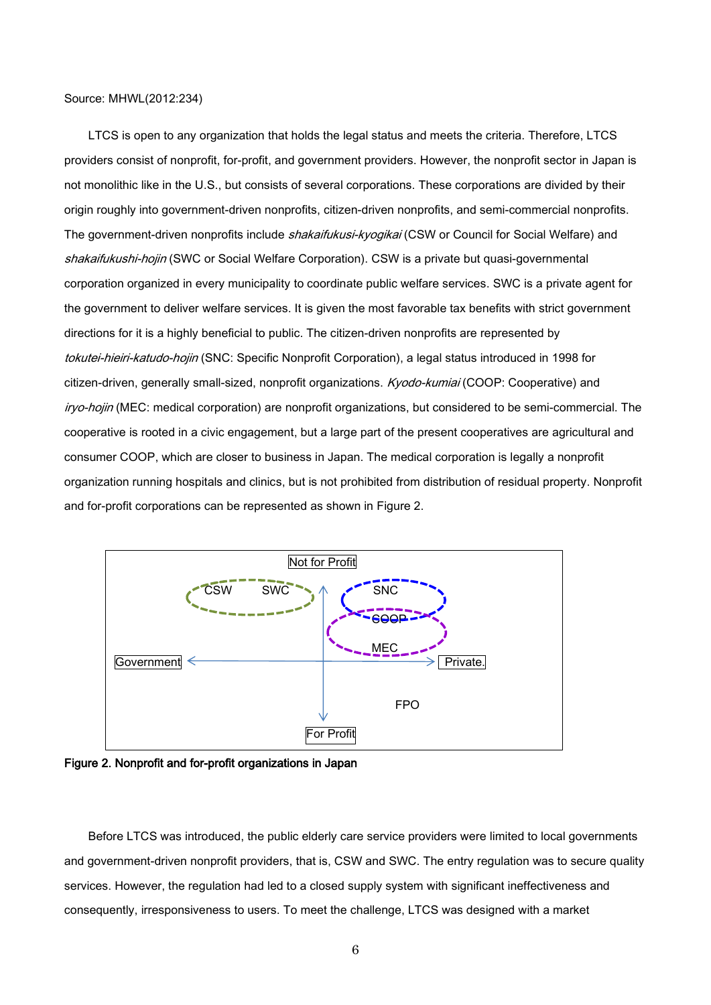Source: MHWL(2012:234)

LTCS is open to any organization that holds the legal status and meets the criteria. Therefore, LTCS providers consist of nonprofit, for-profit, and government providers. However, the nonprofit sector in Japan is not monolithic like in the U.S., but consists of several corporations. These corporations are divided by their origin roughly into government-driven nonprofits, citizen-driven nonprofits, and semi-commercial nonprofits. The government-driven nonprofits include *shakaifukusi-kyogikai* (CSW or Council for Social Welfare) and shakaifukushi-hojin (SWC or Social Welfare Corporation). CSW is a private but quasi-governmental corporation organized in every municipality to coordinate public welfare services. SWC is a private agent for the government to deliver welfare services. It is given the most favorable tax benefits with strict government directions for it is a highly beneficial to public. The citizen-driven nonprofits are represented by tokutei-hieiri-katudo-hojin (SNC: Specific Nonprofit Corporation), a legal status introduced in 1998 for citizen-driven, generally small-sized, nonprofit organizations. Kyodo-kumiai (COOP: Cooperative) and iryo-hojin (MEC: medical corporation) are nonprofit organizations, but considered to be semi-commercial. The cooperative is rooted in a civic engagement, but a large part of the present cooperatives are agricultural and consumer COOP, which are closer to business in Japan. The medical corporation is legally a nonprofit organization running hospitals and clinics, but is not prohibited from distribution of residual property. Nonprofit and for-profit corporations can be represented as shown in Figure 2.



Figure 2. Nonprofit and for-profit organizations in Japan

Before LTCS was introduced, the public elderly care service providers were limited to local governments and government-driven nonprofit providers, that is, CSW and SWC. The entry regulation was to secure quality services. However, the regulation had led to a closed supply system with significant ineffectiveness and consequently, irresponsiveness to users. To meet the challenge, LTCS was designed with a market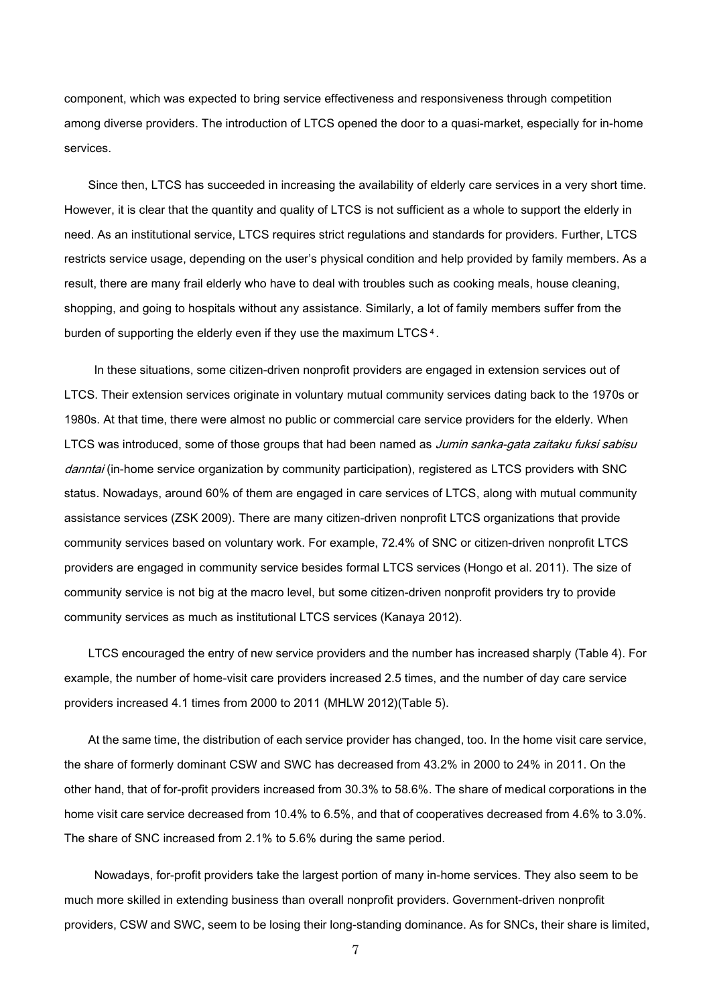component, which was expected to bring service effectiveness and responsiveness through competition among diverse providers. The introduction of LTCS opened the door to a quasi-market, especially for in-home services.

Since then, LTCS has succeeded in increasing the availability of elderly care services in a very short time. However, it is clear that the quantity and quality of LTCS is not sufficient as a whole to support the elderly in need. As an institutional service, LTCS requires strict regulations and standards for providers. Further, LTCS restricts service usage, depending on the user's physical condition and help provided by family members. As a result, there are many frail elderly who have to deal with troubles such as cooking meals, house cleaning, shopping, and going to hospitals without any assistance. Similarly, a lot of family members suffer from the burden of supporting the elderly even if they use the maximum LTCS<sup>4</sup>.

In these situations, some citizen-driven nonprofit providers are engaged in extension services out of LTCS. Their extension services originate in voluntary mutual community services dating back to the 1970s or 1980s. At that time, there were almost no public or commercial care service providers for the elderly. When LTCS was introduced, some of those groups that had been named as Jumin sanka-gata zaitaku fuksi sabisu danntai (in-home service organization by community participation), registered as LTCS providers with SNC status. Nowadays, around 60% of them are engaged in care services of LTCS, along with mutual community assistance services (ZSK 2009). There are many citizen-driven nonprofit LTCS organizations that provide community services based on voluntary work. For example, 72.4% of SNC or citizen-driven nonprofit LTCS providers are engaged in community service besides formal LTCS services (Hongo et al. 2011). The size of community service is not big at the macro level, but some citizen-driven nonprofit providers try to provide community services as much as institutional LTCS services (Kanaya 2012).

LTCS encouraged the entry of new service providers and the number has increased sharply (Table 4). For example, the number of home-visit care providers increased 2.5 times, and the number of day care service providers increased 4.1 times from 2000 to 2011 (MHLW 2012)(Table 5).

At the same time, the distribution of each service provider has changed, too. In the home visit care service, the share of formerly dominant CSW and SWC has decreased from 43.2% in 2000 to 24% in 2011. On the other hand, that of for-profit providers increased from 30.3% to 58.6%. The share of medical corporations in the home visit care service decreased from 10.4% to 6.5%, and that of cooperatives decreased from 4.6% to 3.0%. The share of SNC increased from 2.1% to 5.6% during the same period.

Nowadays, for-profit providers take the largest portion of many in-home services. They also seem to be much more skilled in extending business than overall nonprofit providers. Government-driven nonprofit providers, CSW and SWC, seem to be losing their long-standing dominance. As for SNCs, their share is limited,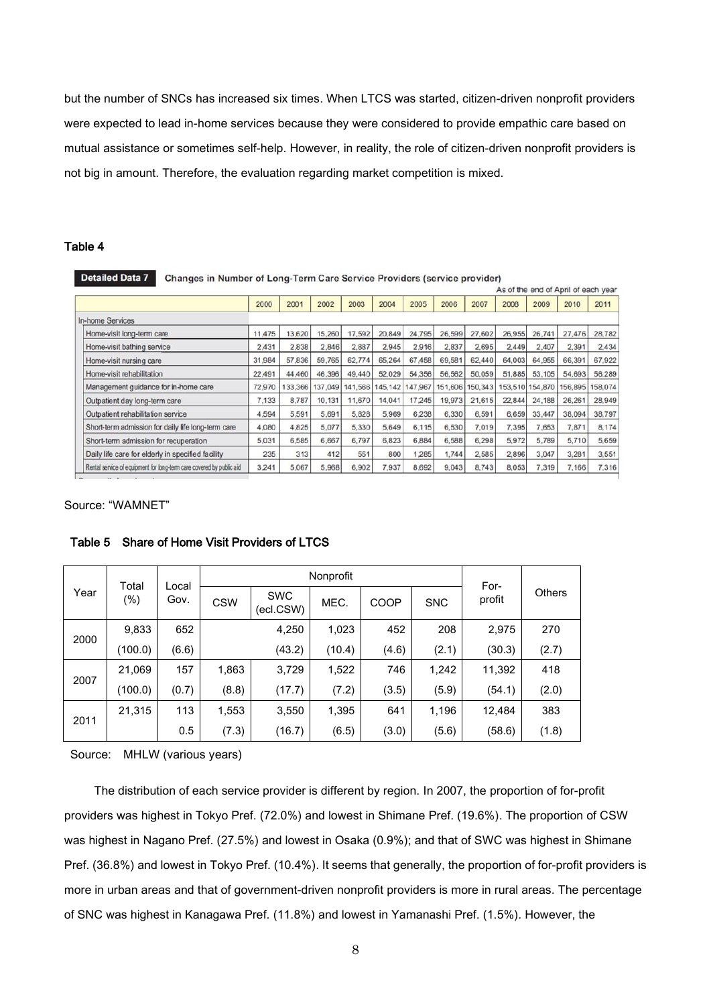but the number of SNCs has increased six times. When LTCS was started, citizen-driven nonprofit providers were expected to lead in-home services because they were considered to provide empathic care based on mutual assistance or sometimes self-help. However, in reality, the role of citizen-driven nonprofit providers is not big in amount. Therefore, the evaluation regarding market competition is mixed.

# Table 4

Detailed Data 7 Changes in Number of Long-Term Care Service Providers (service provider)

|                                                                                                                                                                                                                                                                                                                                                                                                                                                              |        |         |         |         |         |         |                 |        |        |                 | As of the end of April of each year |         |
|--------------------------------------------------------------------------------------------------------------------------------------------------------------------------------------------------------------------------------------------------------------------------------------------------------------------------------------------------------------------------------------------------------------------------------------------------------------|--------|---------|---------|---------|---------|---------|-----------------|--------|--------|-----------------|-------------------------------------|---------|
|                                                                                                                                                                                                                                                                                                                                                                                                                                                              | 2000   | 2001    | 2002    | 2003    | 2004    | 2005    | 2006            | 2007   | 2008   | 2009            | 2010                                | 2011    |
| <b>In-home Services</b>                                                                                                                                                                                                                                                                                                                                                                                                                                      |        |         |         |         |         |         |                 |        |        |                 |                                     |         |
| Home-visit long-term care                                                                                                                                                                                                                                                                                                                                                                                                                                    | 11,475 | 13,620  | 15,260  | 17,592  | 20,849  | 24,795  | 26,599          | 27,602 | 26,955 | 26,741          | 27,476                              | 28,782  |
| Home-visit bathing service                                                                                                                                                                                                                                                                                                                                                                                                                                   | 2,431  | 2,838   | 2,846   | 2,887   | 2,945   | 2,916   | 2,837           | 2.695  | 2.449  | 2,407           | 2,391                               | 2.434   |
| Home-visit nursing care                                                                                                                                                                                                                                                                                                                                                                                                                                      | 31,984 | 57,836  | 59,765  | 62,774  | 65,264  | 67,458  | 69,581          | 62,440 | 64,003 | 64,955          | 66,391                              | 67,922  |
| Home-visit rehabilitation                                                                                                                                                                                                                                                                                                                                                                                                                                    | 22,491 | 44,460  | 46,396  | 49,440  | 52,029  | 54,356  | 56,562          | 50,059 | 51,885 | 53,105          | 54,693                              | 56,289  |
| Management guidance for in-home care                                                                                                                                                                                                                                                                                                                                                                                                                         | 72,970 | 133,366 | 137,049 | 141,566 | 145,142 | 147,967 | 151,606 150,343 |        |        | 153,510 154,870 | 156,895                             | 158,074 |
| Outpatient day long-term care                                                                                                                                                                                                                                                                                                                                                                                                                                | 7.133  | 8.787   | 10.131  | 11,670  | 14,041  | 17.245  | 19,973          | 21,615 | 22.844 | 24.188          | 26.261                              | 28,949  |
| Outpatient rehabilitation service                                                                                                                                                                                                                                                                                                                                                                                                                            | 4,594  | 5,591   | 5.691   | 5.828   | 5,969   | 6.238   | 6,330           | 6.591  | 6,659  | 33.447          | 38.094                              | 38,797  |
| Short-term admission for daily life long-term care                                                                                                                                                                                                                                                                                                                                                                                                           | 4,080  | 4.825   | 5.077   | 5,330   | 5.649   | 6,115   | 6,530           | 7.019  | 7,395  | 7.653           | 7.871                               | 8,174   |
| Short-term admission for recuperation                                                                                                                                                                                                                                                                                                                                                                                                                        | 5.031  | 6,585   | 6.667   | 6,797   | 6,823   | 6,884   | 6,588           | 6.298  | 5,972  | 5.789           | 5,710                               | 5,659   |
| Daily life care for elderly in specified facility                                                                                                                                                                                                                                                                                                                                                                                                            | 235    | 313     | 412     | 551     | 800     | 1,285   | 1.744           | 2.585  | 2.896  | 3.047           | 3.281                               | 3,551   |
| Rental service of equipment for long-term care covered by public aid                                                                                                                                                                                                                                                                                                                                                                                         | 3.241  | 5,067   | 5,968   | 6,902   | 7,937   | 8,692   | 9,043           | 8,743  | 8,053  | 7,319           | 7,166                               | 7,316   |
| $\mathcal{L} = \mathcal{L} = \mathcal{L} = \mathcal{L} = \mathcal{L} = \mathcal{L} = \mathcal{L} = \mathcal{L} = \mathcal{L} = \mathcal{L} = \mathcal{L} = \mathcal{L} = \mathcal{L} = \mathcal{L} = \mathcal{L} = \mathcal{L} = \mathcal{L} = \mathcal{L} = \mathcal{L} = \mathcal{L} = \mathcal{L} = \mathcal{L} = \mathcal{L} = \mathcal{L} = \mathcal{L} = \mathcal{L} = \mathcal{L} = \mathcal{L} = \mathcal{L} = \mathcal{L} = \mathcal{L} = \mathcal$ |        |         |         |         |         |         |                 |        |        |                 |                                     |         |

Source: "WAMNET"

| Year | Total   |               |            | Nonprofit               |        | For-  |            |        |        |  |
|------|---------|---------------|------------|-------------------------|--------|-------|------------|--------|--------|--|
|      | $(\%)$  | Local<br>Gov. | <b>CSW</b> | <b>SWC</b><br>(ecl.CSW) | MEC.   | COOP  | <b>SNC</b> | profit | Others |  |
|      | 9,833   | 652           |            | 4,250                   | 1,023  | 452   | 208        | 2,975  | 270    |  |
| 2000 | (100.0) | (6.6)         |            | (43.2)                  | (10.4) | (4.6) | (2.1)      | (30.3) | (2.7)  |  |
| 2007 | 21,069  | 157           | 1,863      | 3,729                   | 1,522  | 746   | 1,242      | 11,392 | 418    |  |
|      | (100.0) | (0.7)         | (8.8)      | (17.7)                  | (7.2)  | (3.5) | (5.9)      | (54.1) | (2.0)  |  |
|      | 21,315  | 113           | 1,553      | 3,550                   | 1,395  | 641   | 1,196      | 12,484 | 383    |  |
| 2011 |         | 0.5           | (7.3)      | (16.7)                  | (6.5)  | (3.0) | (5.6)      | (58.6) | (1.8)  |  |

# Table 5 Share of Home Visit Providers of LTCS

Source: MHLW (various years)

 The distribution of each service provider is different by region. In 2007, the proportion of for-profit providers was highest in Tokyo Pref. (72.0%) and lowest in Shimane Pref. (19.6%). The proportion of CSW was highest in Nagano Pref. (27.5%) and lowest in Osaka (0.9%); and that of SWC was highest in Shimane Pref. (36.8%) and lowest in Tokyo Pref. (10.4%). It seems that generally, the proportion of for-profit providers is more in urban areas and that of government-driven nonprofit providers is more in rural areas. The percentage of SNC was highest in Kanagawa Pref. (11.8%) and lowest in Yamanashi Pref. (1.5%). However, the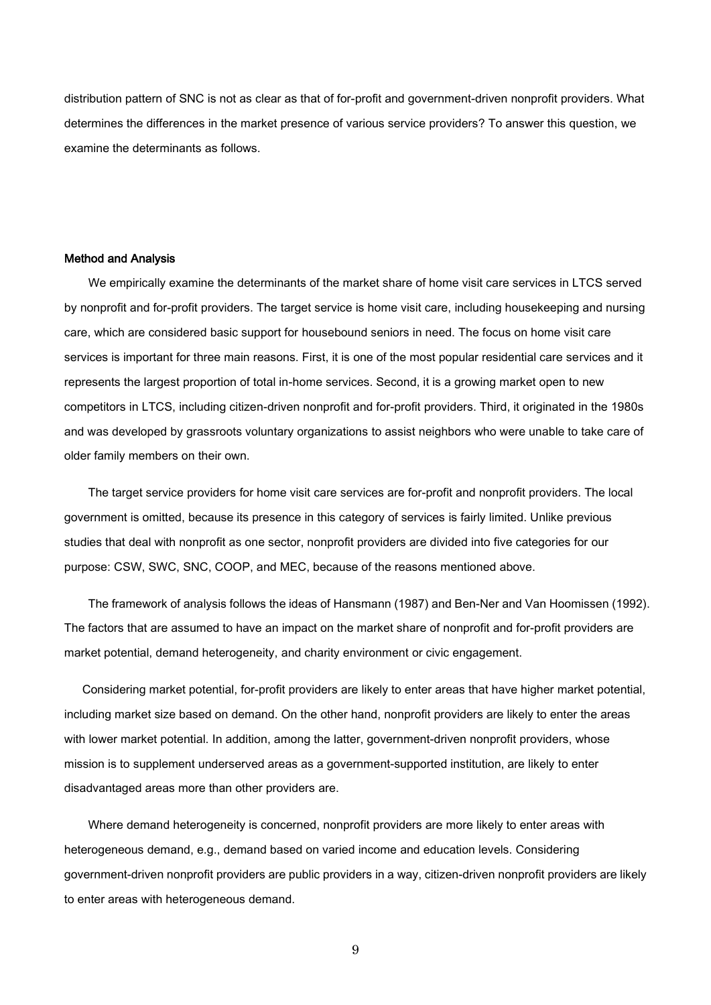distribution pattern of SNC is not as clear as that of for-profit and government-driven nonprofit providers. What determines the differences in the market presence of various service providers? To answer this question, we examine the determinants as follows.

# Method and Analysis

 We empirically examine the determinants of the market share of home visit care services in LTCS served by nonprofit and for-profit providers. The target service is home visit care, including housekeeping and nursing care, which are considered basic support for housebound seniors in need. The focus on home visit care services is important for three main reasons. First, it is one of the most popular residential care services and it represents the largest proportion of total in-home services. Second, it is a growing market open to new competitors in LTCS, including citizen-driven nonprofit and for-profit providers. Third, it originated in the 1980s and was developed by grassroots voluntary organizations to assist neighbors who were unable to take care of older family members on their own.

The target service providers for home visit care services are for-profit and nonprofit providers. The local government is omitted, because its presence in this category of services is fairly limited. Unlike previous studies that deal with nonprofit as one sector, nonprofit providers are divided into five categories for our purpose: CSW, SWC, SNC, COOP, and MEC, because of the reasons mentioned above.

The framework of analysis follows the ideas of Hansmann (1987) and Ben-Ner and Van Hoomissen (1992). The factors that are assumed to have an impact on the market share of nonprofit and for-profit providers are market potential, demand heterogeneity, and charity environment or civic engagement.

Considering market potential, for-profit providers are likely to enter areas that have higher market potential, including market size based on demand. On the other hand, nonprofit providers are likely to enter the areas with lower market potential. In addition, among the latter, government-driven nonprofit providers, whose mission is to supplement underserved areas as a government-supported institution, are likely to enter disadvantaged areas more than other providers are.

Where demand heterogeneity is concerned, nonprofit providers are more likely to enter areas with heterogeneous demand, e.g., demand based on varied income and education levels. Considering government-driven nonprofit providers are public providers in a way, citizen-driven nonprofit providers are likely to enter areas with heterogeneous demand.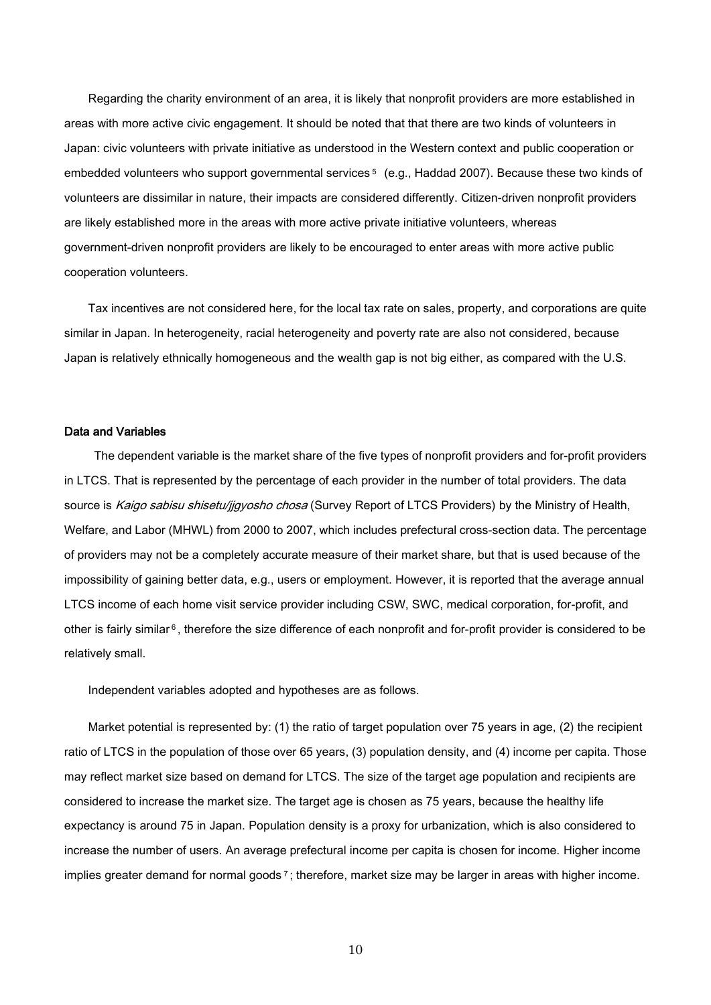Regarding the charity environment of an area, it is likely that nonprofit providers are more established in areas with more active civic engagement. It should be noted that that there are two kinds of volunteers in Japan: civic volunteers with private initiative as understood in the Western context and public cooperation or embedded volunteers who support governmental services<sup>5</sup> (e.g., Haddad 2007). Because these two kinds of volunteers are dissimilar in nature, their impacts are considered differently. Citizen-driven nonprofit providers are likely established more in the areas with more active private initiative volunteers, whereas government-driven nonprofit providers are likely to be encouraged to enter areas with more active public cooperation volunteers.

Tax incentives are not considered here, for the local tax rate on sales, property, and corporations are quite similar in Japan. In heterogeneity, racial heterogeneity and poverty rate are also not considered, because Japan is relatively ethnically homogeneous and the wealth gap is not big either, as compared with the U.S.

## Data and Variables

The dependent variable is the market share of the five types of nonprofit providers and for-profit providers in LTCS. That is represented by the percentage of each provider in the number of total providers. The data source is Kaigo sabisu shisetu/jjgyosho chosa (Survey Report of LTCS Providers) by the Ministry of Health, Welfare, and Labor (MHWL) from 2000 to 2007, which includes prefectural cross-section data. The percentage of providers may not be a completely accurate measure of their market share, but that is used because of the impossibility of gaining better data, e.g., users or employment. However, it is reported that the average annual LTCS income of each home visit service provider including CSW, SWC, medical corporation, for-profit, and other is fairly similar<sup>6</sup>, therefore the size difference of each nonprofit and for-profit provider is considered to be relatively small.

Independent variables adopted and hypotheses are as follows.

Market potential is represented by: (1) the ratio of target population over 75 years in age, (2) the recipient ratio of LTCS in the population of those over 65 years, (3) population density, and (4) income per capita. Those may reflect market size based on demand for LTCS. The size of the target age population and recipients are considered to increase the market size. The target age is chosen as 75 years, because the healthy life expectancy is around 75 in Japan. Population density is a proxy for urbanization, which is also considered to increase the number of users. An average prefectural income per capita is chosen for income. Higher income implies greater demand for normal goods  $7$ ; therefore, market size may be larger in areas with higher income.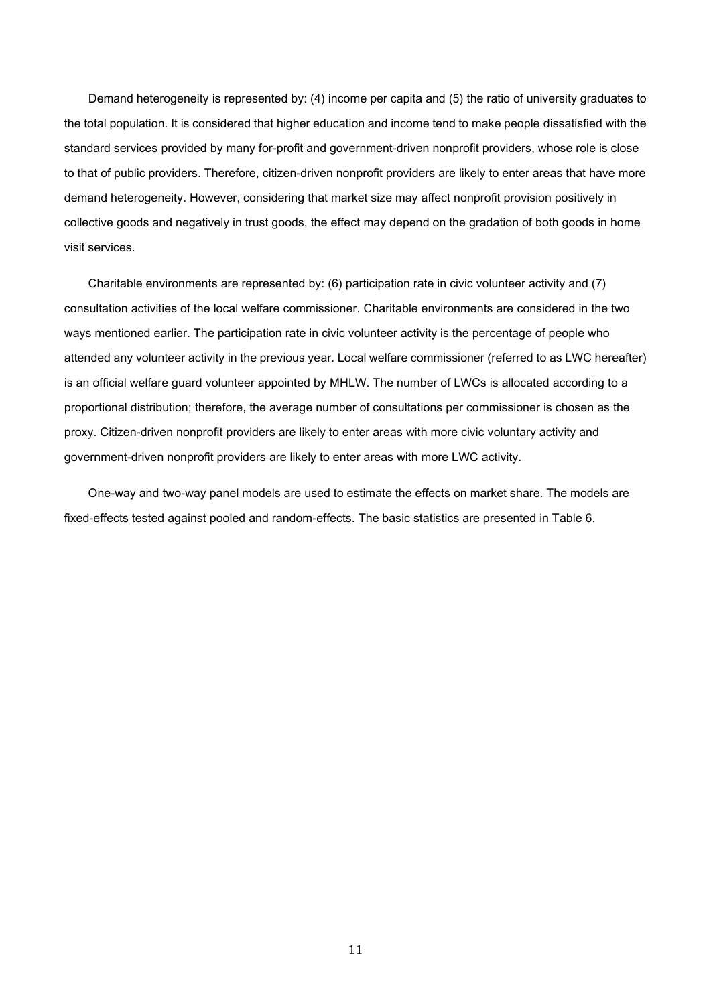Demand heterogeneity is represented by: (4) income per capita and (5) the ratio of university graduates to the total population. It is considered that higher education and income tend to make people dissatisfied with the standard services provided by many for-profit and government-driven nonprofit providers, whose role is close to that of public providers. Therefore, citizen-driven nonprofit providers are likely to enter areas that have more demand heterogeneity. However, considering that market size may affect nonprofit provision positively in collective goods and negatively in trust goods, the effect may depend on the gradation of both goods in home visit services.

Charitable environments are represented by: (6) participation rate in civic volunteer activity and (7) consultation activities of the local welfare commissioner. Charitable environments are considered in the two ways mentioned earlier. The participation rate in civic volunteer activity is the percentage of people who attended any volunteer activity in the previous year. Local welfare commissioner (referred to as LWC hereafter) is an official welfare guard volunteer appointed by MHLW. The number of LWCs is allocated according to a proportional distribution; therefore, the average number of consultations per commissioner is chosen as the proxy. Citizen-driven nonprofit providers are likely to enter areas with more civic voluntary activity and government-driven nonprofit providers are likely to enter areas with more LWC activity.

One-way and two-way panel models are used to estimate the effects on market share. The models are fixed-effects tested against pooled and random-effects. The basic statistics are presented in Table 6.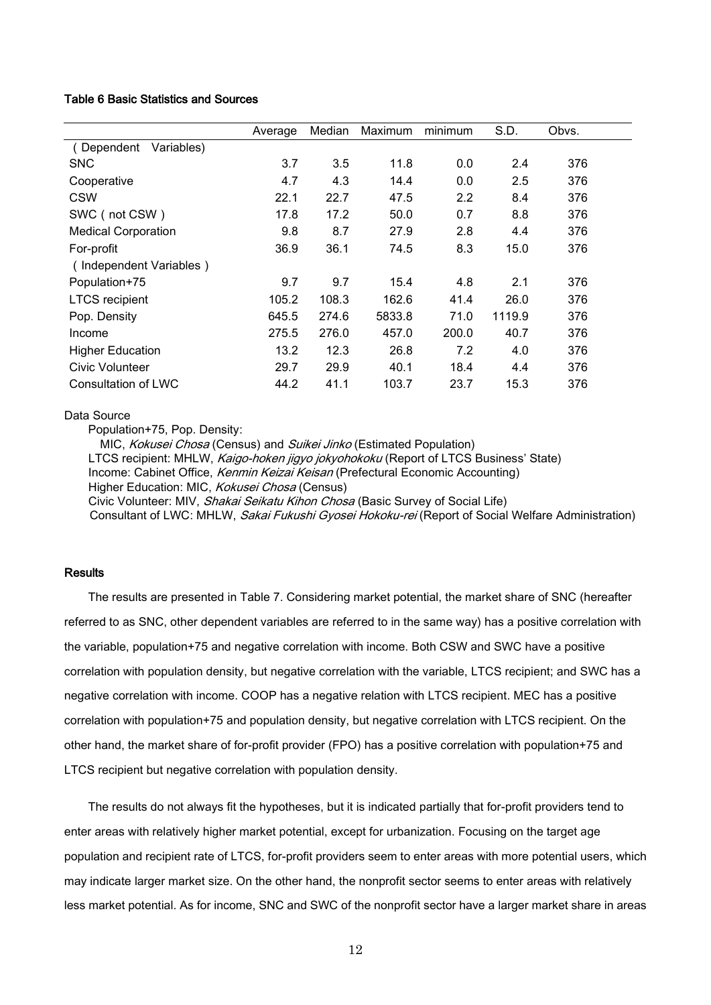# Table 6 Basic Statistics and Sources

|                            |         | Median | Maximum | minimum | S.D.   | Obvs. |  |
|----------------------------|---------|--------|---------|---------|--------|-------|--|
|                            | Average |        |         |         |        |       |  |
| (Dependent<br>Variables)   |         |        |         |         |        |       |  |
| <b>SNC</b>                 | 3.7     | 3.5    | 11.8    | 0.0     | 2.4    | 376   |  |
| Cooperative                | 4.7     | 4.3    | 14.4    | 0.0     | 2.5    | 376   |  |
| <b>CSW</b>                 | 22.1    | 22.7   | 47.5    | 2.2     | 8.4    | 376   |  |
| SWC (not CSW)              | 17.8    | 17.2   | 50.0    | 0.7     | 8.8    | 376   |  |
| <b>Medical Corporation</b> | 9.8     | 8.7    | 27.9    | 2.8     | 4.4    | 376   |  |
| For-profit                 | 36.9    | 36.1   | 74.5    | 8.3     | 15.0   | 376   |  |
| (Independent Variables)    |         |        |         |         |        |       |  |
| Population+75              | 9.7     | 9.7    | 15.4    | 4.8     | 2.1    | 376   |  |
| <b>LTCS</b> recipient      | 105.2   | 108.3  | 162.6   | 41.4    | 26.0   | 376   |  |
| Pop. Density               | 645.5   | 274.6  | 5833.8  | 71.0    | 1119.9 | 376   |  |
| Income                     | 275.5   | 276.0  | 457.0   | 200.0   | 40.7   | 376   |  |
| <b>Higher Education</b>    | 13.2    | 12.3   | 26.8    | 7.2     | 4.0    | 376   |  |
| Civic Volunteer            | 29.7    | 29.9   | 40.1    | 18.4    | 4.4    | 376   |  |
| Consultation of LWC        | 44.2    | 41.1   | 103.7   | 23.7    | 15.3   | 376   |  |

# Data Source

Population+75, Pop. Density:

MIC, Kokusei Chosa (Census) and Suikei Jinko (Estimated Population) LTCS recipient: MHLW, Kaigo-hoken jigyo jokyohokoku (Report of LTCS Business' State)

Income: Cabinet Office, Kenmin Keizai Keisan (Prefectural Economic Accounting)

Higher Education: MIC, Kokusei Chosa (Census)

Civic Volunteer: MIV, Shakai Seikatu Kihon Chosa (Basic Survey of Social Life)

Consultant of LWC: MHLW, Sakai Fukushi Gyosei Hokoku-rei (Report of Social Welfare Administration)

# **Results**

The results are presented in Table 7. Considering market potential, the market share of SNC (hereafter referred to as SNC, other dependent variables are referred to in the same way) has a positive correlation with the variable, population+75 and negative correlation with income. Both CSW and SWC have a positive correlation with population density, but negative correlation with the variable, LTCS recipient; and SWC has a negative correlation with income. COOP has a negative relation with LTCS recipient. MEC has a positive correlation with population+75 and population density, but negative correlation with LTCS recipient. On the other hand, the market share of for-profit provider (FPO) has a positive correlation with population+75 and LTCS recipient but negative correlation with population density.

The results do not always fit the hypotheses, but it is indicated partially that for-profit providers tend to enter areas with relatively higher market potential, except for urbanization. Focusing on the target age population and recipient rate of LTCS, for-profit providers seem to enter areas with more potential users, which may indicate larger market size. On the other hand, the nonprofit sector seems to enter areas with relatively less market potential. As for income, SNC and SWC of the nonprofit sector have a larger market share in areas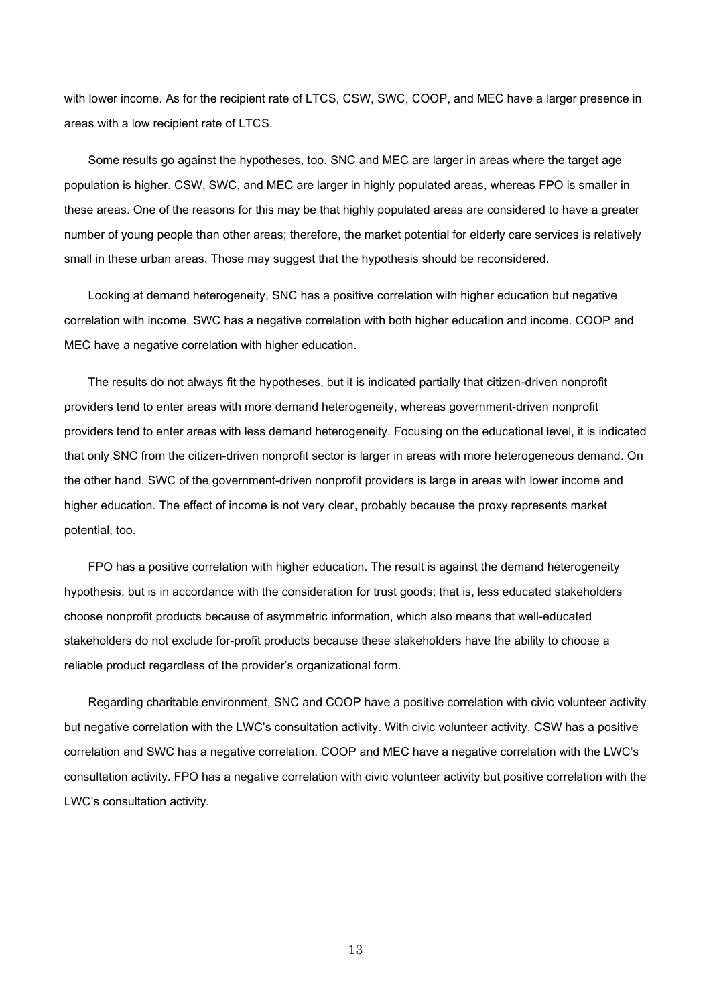with lower income. As for the recipient rate of LTCS, CSW, SWC, COOP, and MEC have a larger presence in areas with a low recipient rate of LTCS.

Some results go against the hypotheses, too. SNC and MEC are larger in areas where the target age population is higher. CSW, SWC, and MEC are larger in highly populated areas, whereas FPO is smaller in these areas. One of the reasons for this may be that highly populated areas are considered to have a greater number of young people than other areas; therefore, the market potential for elderly care services is relatively small in these urban areas. Those may suggest that the hypothesis should be reconsidered.

Looking at demand heterogeneity, SNC has a positive correlation with higher education but negative correlation with income. SWC has a negative correlation with both higher education and income. COOP and MEC have a negative correlation with higher education.

The results do not always fit the hypotheses, but it is indicated partially that citizen-driven nonprofit providers tend to enter areas with more demand heterogeneity, whereas government-driven nonprofit providers tend to enter areas with less demand heterogeneity. Focusing on the educational level, it is indicated that only SNC from the citizen-driven nonprofit sector is larger in areas with more heterogeneous demand. On the other hand, SWC of the government-driven nonprofit providers is large in areas with lower income and higher education. The effect of income is not very clear, probably because the proxy represents market potential, too.

FPO has a positive correlation with higher education. The result is against the demand heterogeneity hypothesis, but is in accordance with the consideration for trust goods; that is, less educated stakeholders choose nonprofit products because of asymmetric information, which also means that well-educated stakeholders do not exclude for-profit products because these stakeholders have the ability to choose a reliable product regardless of the provider's organizational form.

Regarding charitable environment, SNC and COOP have a positive correlation with civic volunteer activity but negative correlation with the LWC's consultation activity. With civic volunteer activity, CSW has a positive correlation and SWC has a negative correlation. COOP and MEC have a negative correlation with the LWC's consultation activity. FPO has a negative correlation with civic volunteer activity but positive correlation with the LWC's consultation activity.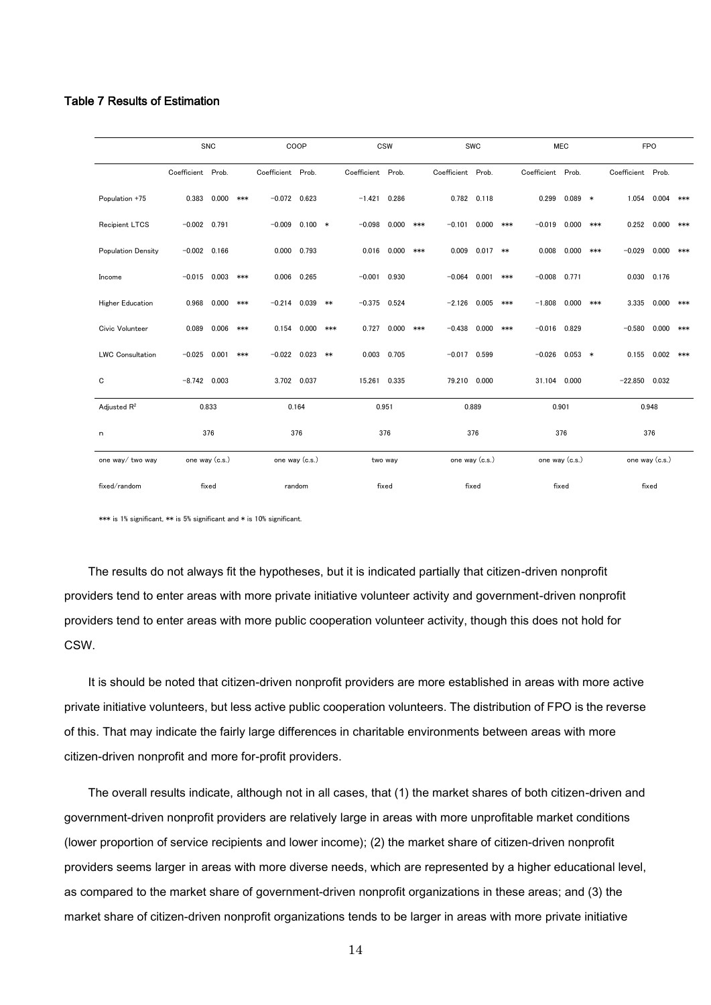# Table 7 Results of Estimation

|      |                                                                                                                                                                                                                            | <b>SNC</b>        |       |     | COOP              |                |     | <b>CSW</b>        |         |     | <b>SWC</b>        |       |     | <b>MEC</b>        |                |        | <b>FPO</b>        |                |     |  |
|------|----------------------------------------------------------------------------------------------------------------------------------------------------------------------------------------------------------------------------|-------------------|-------|-----|-------------------|----------------|-----|-------------------|---------|-----|-------------------|-------|-----|-------------------|----------------|--------|-------------------|----------------|-----|--|
|      |                                                                                                                                                                                                                            | Coefficient Prob. |       |     | Coefficient Prob. |                |     | Coefficient Prob. |         |     | Coefficient Prob. |       |     | Coefficient Prob. |                |        | Coefficient Prob. |                |     |  |
|      | Population +75                                                                                                                                                                                                             | 0.383             | 0.000 | *** | $-0.072$          | 0.623          |     | $-1.421$          | 0.286   |     | 0.782             | 0.118 |     | 0.299             | 0.089          | $\ast$ | 1.054             | 0.004          | *** |  |
|      | <b>Recipient LTCS</b>                                                                                                                                                                                                      | $-0.002$ 0.791    |       |     | $-0.009$          | $0.100*$       |     | $-0.098$          | 0.000   | *** | $-0.101$          | 0.000 | *** | $-0.019$          | 0.000          | ***    | 0.252             | 0.000          | *** |  |
|      | <b>Population Density</b>                                                                                                                                                                                                  | $-0.002$ 0.166    |       |     | 0.000             | 0.793          |     | 0.016             | 0.000   | *** | 0.009             | 0.017 | ∗∗  | 0.008             | 0.000          | ***    | $-0.029$          | 0.000          | *** |  |
|      | Income                                                                                                                                                                                                                     | $-0.015$          | 0.003 | *** | 0.006             | 0.265          |     | $-0.001$          | 0.930   |     | $-0.064$          | 0.001 | *** | $-0.008$          | 0.771          |        | 0.030             | 0.176          |     |  |
|      | <b>Higher Education</b>                                                                                                                                                                                                    | 0.968             | 0.000 | *** | $-0.214$          | 0.039          | $*$ | $-0.375$          | 0.524   |     | $-2.126$          | 0.005 | *** | $-1.808$          | 0.000          | ***    | 3.335             | 0.000          | *** |  |
|      | Civic Volunteer                                                                                                                                                                                                            | 0.089             | 0.006 | *** | 0.154             | 0.000          | *** | 0.727             | 0.000   | *** | $-0.438$          | 0.000 | *** | $-0.016$          | 0.829          |        | $-0.580$          | 0.000          | *** |  |
|      | <b>LWC Consultation</b>                                                                                                                                                                                                    | $-0.025$          | 0.001 | *** | $-0.022$          | 0.023          | **  | 0.003             | 0.705   |     | $-0.017$          | 0.599 |     | $-0.026$          | 0.053          | $\ast$ | 0.155             | 0.002          |     |  |
|      | C                                                                                                                                                                                                                          | $-8.742$          | 0.003 |     |                   | 3.702 0.037    |     | 15.261            | 0.335   |     | 79.210            | 0.000 |     | 31.104            | 0.000          |        | $-22.850$         | 0.032          |     |  |
|      | Adjusted R <sup>2</sup>                                                                                                                                                                                                    |                   | 0.833 |     |                   | 0.164          |     | 0.951             |         |     |                   | 0.889 |     |                   | 0.901          |        |                   | 0.948          |     |  |
|      | n                                                                                                                                                                                                                          | 376               |       |     | 376               |                |     | 376               |         |     | 376               |       |     | 376               |                | 376    |                   |                |     |  |
|      | one way/two way                                                                                                                                                                                                            | one way (c.s.)    |       |     |                   | one way (c.s.) |     |                   | two way |     | one way (c.s.)    |       |     |                   | one way (c.s.) |        |                   | one way (c.s.) |     |  |
|      | fixed/random                                                                                                                                                                                                               |                   | fixed |     |                   | random         |     |                   | fixed   |     | fixed             |       |     | fixed             |                |        | fixed             |                |     |  |
|      | The results do not always fit the hypotheses, but it is indicated partially that citizen-driven nonprofit<br>providers tend to enter areas with more private initiative volunteer activity and government-driven nonprofit |                   |       |     |                   |                |     |                   |         |     |                   |       |     |                   |                |        |                   |                |     |  |
|      | providers tend to enter areas with more public cooperation volunteer activity, though this does not hold for                                                                                                               |                   |       |     |                   |                |     |                   |         |     |                   |       |     |                   |                |        |                   |                |     |  |
| CSW. |                                                                                                                                                                                                                            |                   |       |     |                   |                |     |                   |         |     |                   |       |     |                   |                |        |                   |                |     |  |
|      | It is should be noted that citizen-driven nonprofit providers are more established in areas with more active                                                                                                               |                   |       |     |                   |                |     |                   |         |     |                   |       |     |                   |                |        |                   |                |     |  |
|      | private initiative volunteers, but less active public cooperation volunteers. The distribution of FPO is the reverse                                                                                                       |                   |       |     |                   |                |     |                   |         |     |                   |       |     |                   |                |        |                   |                |     |  |
|      | of this. That may indicate the fairly large differences in charitable environments between areas with more                                                                                                                 |                   |       |     |                   |                |     |                   |         |     |                   |       |     |                   |                |        |                   |                |     |  |
|      | citizen-driven nonprofit and more for-profit providers.                                                                                                                                                                    |                   |       |     |                   |                |     |                   |         |     |                   |       |     |                   |                |        |                   |                |     |  |
|      | The overall results indicate, although not in all cases, that (1) the market shares of both citizen-driven and                                                                                                             |                   |       |     |                   |                |     |                   |         |     |                   |       |     |                   |                |        |                   |                |     |  |
|      | government-driven nonprofit providers are relatively large in areas with more unprofitable market conditions                                                                                                               |                   |       |     |                   |                |     |                   |         |     |                   |       |     |                   |                |        |                   |                |     |  |
|      | (lower proportion of service recipients and lower income); (2) the market share of citizen-driven nonprofit                                                                                                                |                   |       |     |                   |                |     |                   |         |     |                   |       |     |                   |                |        |                   |                |     |  |
|      | providers seems larger in areas with more diverse needs, which are represented by a higher educational level,                                                                                                              |                   |       |     |                   |                |     |                   |         |     |                   |       |     |                   |                |        |                   |                |     |  |
|      | as compared to the market share of government-driven nonprofit organizations in these areas; and (3) the                                                                                                                   |                   |       |     |                   |                |     |                   |         |     |                   |       |     |                   |                |        |                   |                |     |  |
|      | market share of citizen-driven nonprofit organizations tends to be larger in areas with more private initiative                                                                                                            |                   |       |     |                   |                |     |                   |         |     |                   |       |     |                   |                |        |                   |                |     |  |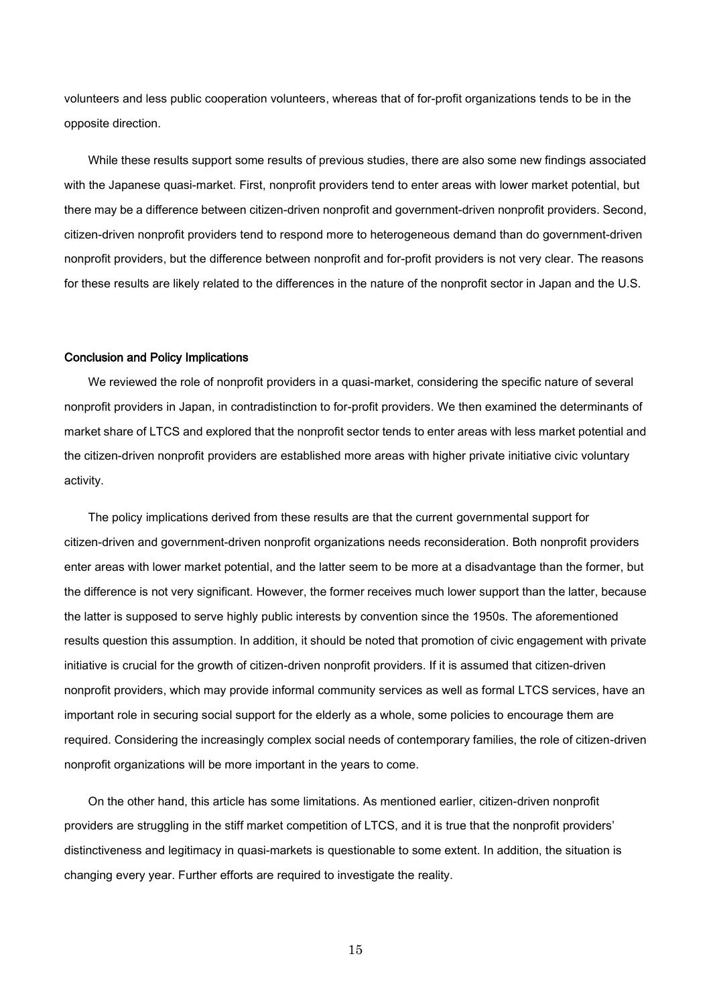volunteers and less public cooperation volunteers, whereas that of for-profit organizations tends to be in the opposite direction.

While these results support some results of previous studies, there are also some new findings associated with the Japanese quasi-market. First, nonprofit providers tend to enter areas with lower market potential, but there may be a difference between citizen-driven nonprofit and government-driven nonprofit providers. Second, citizen-driven nonprofit providers tend to respond more to heterogeneous demand than do government-driven nonprofit providers, but the difference between nonprofit and for-profit providers is not very clear. The reasons for these results are likely related to the differences in the nature of the nonprofit sector in Japan and the U.S.

# Conclusion and Policy Implications

We reviewed the role of nonprofit providers in a quasi-market, considering the specific nature of several nonprofit providers in Japan, in contradistinction to for-profit providers. We then examined the determinants of market share of LTCS and explored that the nonprofit sector tends to enter areas with less market potential and the citizen-driven nonprofit providers are established more areas with higher private initiative civic voluntary activity.

The policy implications derived from these results are that the current governmental support for citizen-driven and government-driven nonprofit organizations needs reconsideration. Both nonprofit providers enter areas with lower market potential, and the latter seem to be more at a disadvantage than the former, but the difference is not very significant. However, the former receives much lower support than the latter, because the latter is supposed to serve highly public interests by convention since the 1950s. The aforementioned results question this assumption. In addition, it should be noted that promotion of civic engagement with private initiative is crucial for the growth of citizen-driven nonprofit providers. If it is assumed that citizen-driven nonprofit providers, which may provide informal community services as well as formal LTCS services, have an important role in securing social support for the elderly as a whole, some policies to encourage them are required. Considering the increasingly complex social needs of contemporary families, the role of citizen-driven nonprofit organizations will be more important in the years to come.

On the other hand, this article has some limitations. As mentioned earlier, citizen-driven nonprofit providers are struggling in the stiff market competition of LTCS, and it is true that the nonprofit providers' distinctiveness and legitimacy in quasi-markets is questionable to some extent. In addition, the situation is changing every year. Further efforts are required to investigate the reality.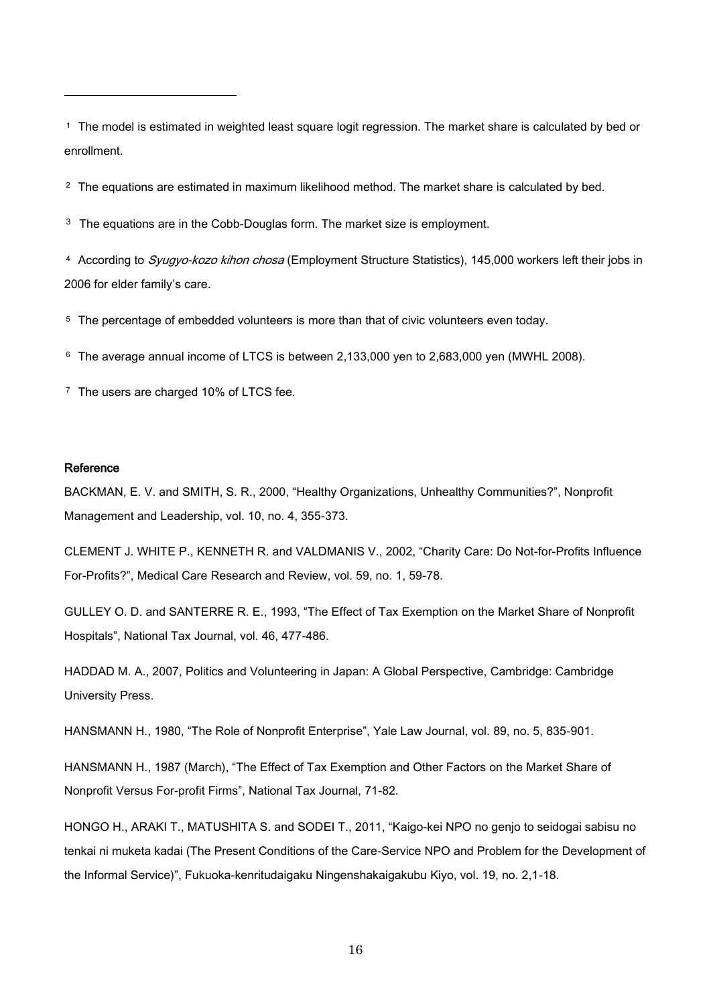<sup>1</sup> The model is estimated in weighted least square logit regression. The market share is calculated by bed or enrollment.

<sup>2</sup> The equations are estimated in maximum likelihood method. The market share is calculated by bed.

 $3$  The equations are in the Cobb-Douglas form. The market size is employment.

4 According to Syugyo-kozo kihon chosa (Employment Structure Statistics), 145,000 workers left their jobs in 2006 for elder family's care.

<sup>5</sup> The percentage of embedded volunteers is more than that of civic volunteers even today.

<sup>6</sup> The average annual income of LTCS is between 2,133,000 yen to 2,683,000 yen (MWHL 2008).

<sup>7</sup> The users are charged 10% of LTCS fee.

# Reference

BACKMAN, E. V. and SMITH, S. R., 2000, "Healthy Organizations, Unhealthy Communities?", Nonprofit Management and Leadership, vol. 10, no. 4, 355-373.

CLEMENT J. WHITE P., KENNETH R. and VALDMANIS V., 2002, "Charity Care: Do Not-for-Profits Influence For-Profits?", Medical Care Research and Review, vol. 59, no. 1, 59-78.

GULLEY O. D. and SANTERRE R. E., 1993, "The Effect of Tax Exemption on the Market Share of Nonprofit Hospitals", National Tax Journal, vol. 46, 477-486.

HADDAD M. A., 2007, Politics and Volunteering in Japan: A Global Perspective, Cambridge: Cambridge University Press.

HANSMANN H., 1980, "The Role of Nonprofit Enterprise", Yale Law Journal, vol. 89, no. 5, 835-901.

HANSMANN H., 1987 (March), "The Effect of Tax Exemption and Other Factors on the Market Share of Nonprofit Versus For-profit Firms", National Tax Journal, 71-82.

HONGO H., ARAKI T., MATUSHITA S. and SODEI T., 2011, "Kaigo-kei NPO no genjo to seidogai sabisu no tenkai ni muketa kadai (The Present Conditions of the Care-Service NPO and Problem for the Development of the Informal Service)", Fukuoka-kenritudaigaku Ningenshakaigakubu Kiyo, vol. 19, no. 2,1-18.